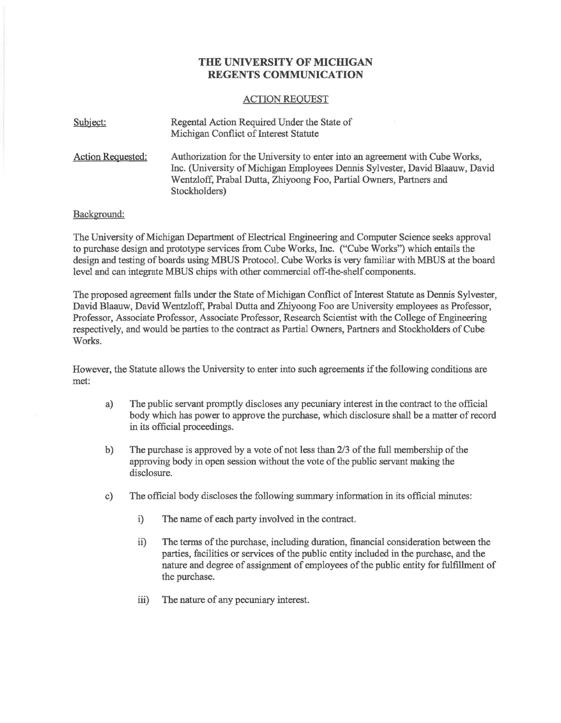## **THE UNIVERSITY OF MICHIGAN REGENTS COMMUNICATION**

## ACTION REQUEST

| Subject:          | Regental Action Required Under the State of<br>Michigan Conflict of Interest Statute                                                                                                                                                                 |
|-------------------|------------------------------------------------------------------------------------------------------------------------------------------------------------------------------------------------------------------------------------------------------|
| Action Requested: | Authorization for the University to enter into an agreement with Cube Works,<br>Inc. (University of Michigan Employees Dennis Sylvester, David Blaauw, David<br>Wentzloff, Prabal Dutta, Zhiyoong Foo, Partial Owners, Partners and<br>Stockholders) |

## Background:

The University of Michigan Department of Electrical Engineering and Computer Science seeks approval to purchase design and prototype services from Cube Works, Inc. ("Cube Works") which entails the design and testing of boards using MBUS Protocol. Cube Works is very familiar with MBUS at the board level and can integrate MBUS chips with other commercial off-the-shelf components.

The proposed agreement falls under the State of Michigan Conflict of Interest Statute as Dennis Sylvester, David Blaauw, David Wentzloff, Prabal Dutta and Zhiyoong Foo are University employees as Professor, Professor, Associate Professor, Associate Professor, Research Scientist with the College of Engineering respectively, and would be parties to the contract as Partial Owners, Partners and Stockholders of Cube Works.

However, the Statute allows the University to enter into such agreements if the following conditions are met:

- a) The public servant promptly discloses any pecuniary interest in the contract to the official body which has power to approve the purchase, which disclosure shall be a matter of record in its official proceedings.
- b) The purchase is approved by a vote of not less than 2/3 of the full membership of the approving body in open session without the vote of the public servant making the disclosure.
- c) The official body discloses the following summary information in its official minutes:
	- i) The name of each party involved in the contract.
	- ii) The terms of the purchase, including duration, financial consideration between the parties, facilities or services of the public entity included in the purchase, and the nature and degree of assignment of employees of the public entity for fulfillment of the purchase.
	- iii) The nature of any pecuniary interest.